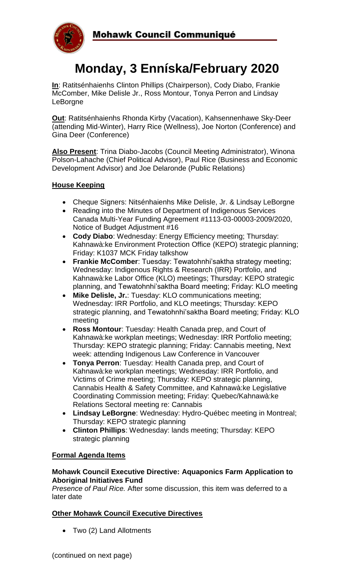

# **Monday, 3 Enníska/February 2020**

**In**: Ratitsénhaienhs Clinton Phillips (Chairperson), Cody Diabo, Frankie McComber, Mike Delisle Jr., Ross Montour, Tonya Perron and Lindsay **LeBorgne** 

**Out**: Ratitsénhaienhs Rhonda Kirby (Vacation), Kahsennenhawe Sky-Deer (attending Mid-Winter), Harry Rice (Wellness), Joe Norton (Conference) and Gina Deer (Conference)

**Also Present**: Trina Diabo-Jacobs (Council Meeting Administrator), Winona Polson-Lahache (Chief Political Advisor), Paul Rice (Business and Economic Development Advisor) and Joe Delaronde (Public Relations)

## **House Keeping**

- Cheque Signers: Nitsénhaienhs Mike Delisle, Jr. & Lindsay LeBorgne
- Reading into the Minutes of Department of Indigenous Services Canada Multi-Year Funding Agreement #1113-03-00003-2009/2020, Notice of Budget Adjustment #16
- **Cody Diabo**: Wednesday: Energy Efficiency meeting; Thursday: Kahnawà:ke Environment Protection Office (KEPO) strategic planning; Friday: K1037 MCK Friday talkshow
- **Frankie McComber**: Tuesday: Tewatohnhi'saktha strategy meeting; Wednesday: Indigenous Rights & Research (IRR) Portfolio, and Kahnawà:ke Labor Office (KLO) meetings; Thursday: KEPO strategic planning, and Tewatohnhi'saktha Board meeting; Friday: KLO meeting
- **Mike Delisle, Jr.**: Tuesday: KLO communications meeting; Wednesday: IRR Portfolio, and KLO meetings; Thursday: KEPO strategic planning, and Tewatohnhi'saktha Board meeting; Friday: KLO meeting
- **Ross Montour**: Tuesday: Health Canada prep, and Court of Kahnawà:ke workplan meetings; Wednesday: IRR Portfolio meeting; Thursday: KEPO strategic planning; Friday: Cannabis meeting, Next week: attending Indigenous Law Conference in Vancouver
- **Tonya Perron**: Tuesday: Health Canada prep, and Court of Kahnawà:ke workplan meetings; Wednesday: IRR Portfolio, and Victims of Crime meeting; Thursday: KEPO strategic planning, Cannabis Health & Safety Committee, and Kahnawà:ke Legislative Coordinating Commission meeting; Friday: Quebec/Kahnawà:ke Relations Sectoral meeting re: Cannabis
- **Lindsay LeBorgne**: Wednesday: Hydro-Québec meeting in Montreal; Thursday: KEPO strategic planning
- **Clinton Phillips**: Wednesday: lands meeting; Thursday: KEPO strategic planning

## **Formal Agenda Items**

#### **Mohawk Council Executive Directive: Aquaponics Farm Application to Aboriginal Initiatives Fund**

*Presence of Paul Rice.* After some discussion, this item was deferred to a later date

## **Other Mohawk Council Executive Directives**

• Two (2) Land Allotments